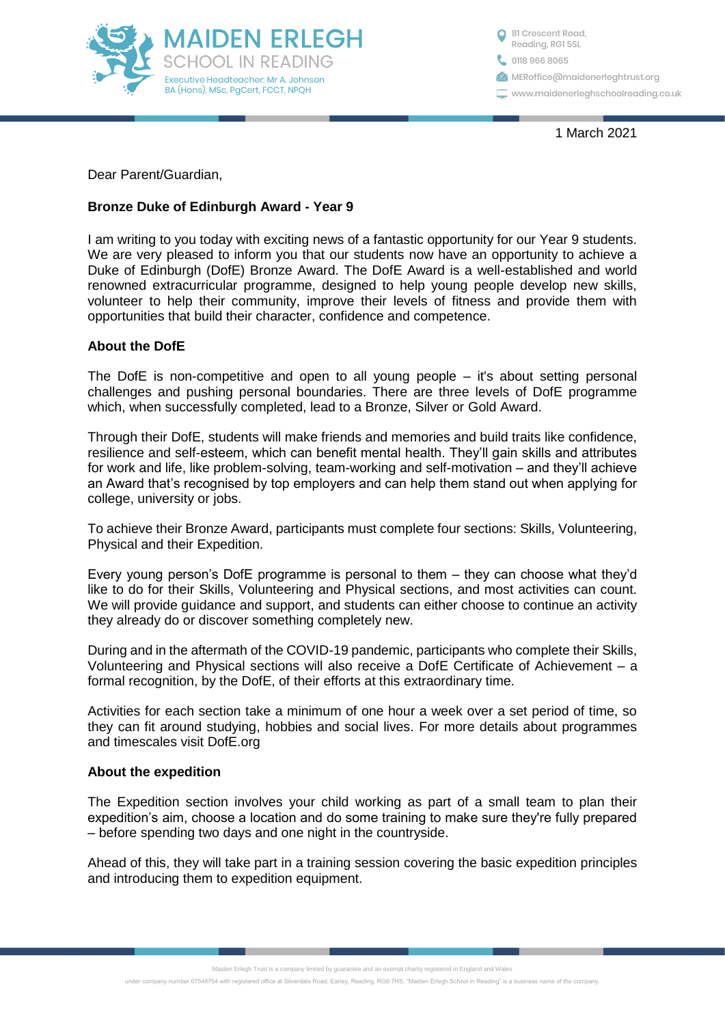

0118 966 8065 <sup>1</sup>81 Crescent Road, Reading, RG1 5SL **MERoffice**@maidenerleghtrust.org www.maidenerleghschoolreading.co.uk

1 March 2021

Dear Parent/Guardian,

# **Bronze Duke of Edinburgh Award - Year 9**

I am writing to you today with exciting news of a fantastic opportunity for our Year 9 students. We are very pleased to inform you that our students now have an opportunity to achieve a Duke of Edinburgh (DofE) Bronze Award. The DofE Award is a well-established and world renowned extracurricular programme, designed to help young people develop new skills, volunteer to help their community, improve their levels of fitness and provide them with opportunities that build their character, confidence and competence.

# **About the DofE**

The DofE is non-competitive and open to all young people – it's about setting personal challenges and pushing personal boundaries. There are three levels of DofE programme which, when successfully completed, lead to a Bronze, Silver or Gold Award.

Through their DofE, students will make friends and memories and build traits like confidence, resilience and self-esteem, which can benefit mental health. They'll gain skills and attributes for work and life, like problem-solving, team-working and self-motivation – and they'll achieve an Award that's recognised by top employers and can help them stand out when applying for college, university or jobs.

To achieve their Bronze Award, participants must complete four sections: Skills, Volunteering, Physical and their Expedition.

Every young person's DofE programme is personal to them – they can choose what they'd like to do for their Skills, Volunteering and Physical sections, and most activities can count. We will provide guidance and support, and students can either choose to continue an activity they already do or discover something completely new.

During and in the aftermath of the COVID-19 pandemic, participants who complete their Skills, Volunteering and Physical sections will also receive a DofE Certificate of Achievement – a formal recognition, by the DofE, of their efforts at this extraordinary time.

Activities for each section take a minimum of one hour a week over a set period of time, so they can fit around studying, hobbies and social lives. For more details about programmes and timescales visit DofE.org

# **About the expedition**

The Expedition section involves your child working as part of a small team to plan their expedition's aim, choose a location and do some training to make sure they're fully prepared – before spending two days and one night in the countryside.

Ahead of this, they will take part in a training session covering the basic expedition principles and introducing them to expedition equipment.

Maiden Erlegh Trust is a company limited by guarantee and an exempt charity registered in England and Wales

under company number 07548754 with registered office at Silverdale Road, Earley, Reading, RG6 7HS, "Maiden Erlegh School in Reading" is a business name of the company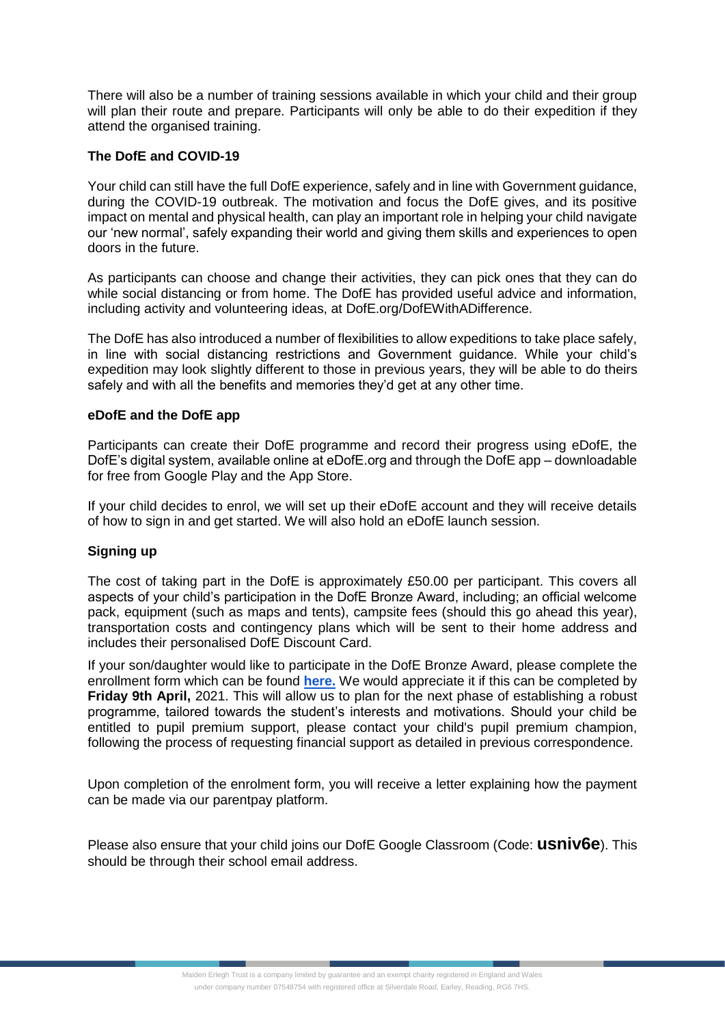There will also be a number of training sessions available in which your child and their group will plan their route and prepare. Participants will only be able to do their expedition if they attend the organised training.

### **The DofE and COVID-19**

Your child can still have the full DofE experience, safely and in line with Government guidance, during the COVID-19 outbreak. The motivation and focus the DofE gives, and its positive impact on mental and physical health, can play an important role in helping your child navigate our 'new normal', safely expanding their world and giving them skills and experiences to open doors in the future.

As participants can choose and change their activities, they can pick ones that they can do while social distancing or from home. The DofE has provided useful advice and information, including activity and volunteering ideas, at DofE.org/DofEWithADifference.

The DofE has also introduced a number of flexibilities to allow expeditions to take place safely, in line with social distancing restrictions and Government guidance. While your child's expedition may look slightly different to those in previous years, they will be able to do theirs safely and with all the benefits and memories they'd get at any other time.

#### **eDofE and the DofE app**

Participants can create their DofE programme and record their progress using eDofE, the DofE's digital system, available online at eDofE.org and through the DofE app – downloadable for free from Google Play and the App Store.

If your child decides to enrol, we will set up their eDofE account and they will receive details of how to sign in and get started. We will also hold an eDofE launch session.

#### **Signing up**

The cost of taking part in the DofE is approximately £50.00 per participant. This covers all aspects of your child's participation in the DofE Bronze Award, including; an official welcome pack, equipment (such as maps and tents), campsite fees (should this go ahead this year), transportation costs and contingency plans which will be sent to their home address and includes their personalised DofE Discount Card.

If your son/daughter would like to participate in the DofE Bronze Award, please complete the enrollment form which can be found **[here.](https://docs.google.com/forms/d/e/1FAIpQLSdH_X4hGu-VuD-g6H3bSMmHNvsH18PlDiwRFQD-EN7tc5Yagg/viewform)** We would appreciate it if this can be completed by **Friday 9th April,** 2021. This will allow us to plan for the next phase of establishing a robust programme, tailored towards the student's interests and motivations. Should your child be entitled to pupil premium support, please contact your child's pupil premium champion, following the process of requesting financial support as detailed in previous correspondence.

Upon completion of the enrolment form, you will receive a letter explaining how the payment can be made via our parentpay platform.

Please also ensure that your child joins our DofE Google Classroom (Code: **usniv6e**). This should be through their school email address.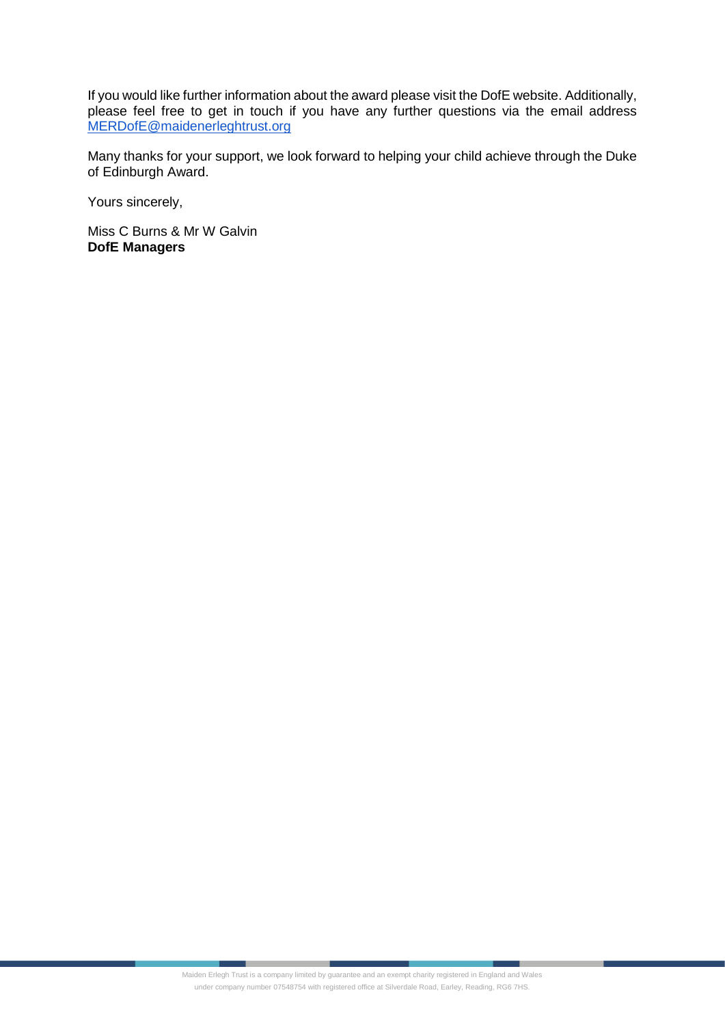If you would like further information about the award please visit the DofE website. Additionally, please feel free to get in touch if you have any further questions via the email address [MERDofE@maidenerleghtrust.org](mailto:MERDofE@maidenerleghtrust.org)

Many thanks for your support, we look forward to helping your child achieve through the Duke of Edinburgh Award.

Yours sincerely,

Miss C Burns & Mr W Galvin **DofE Managers**